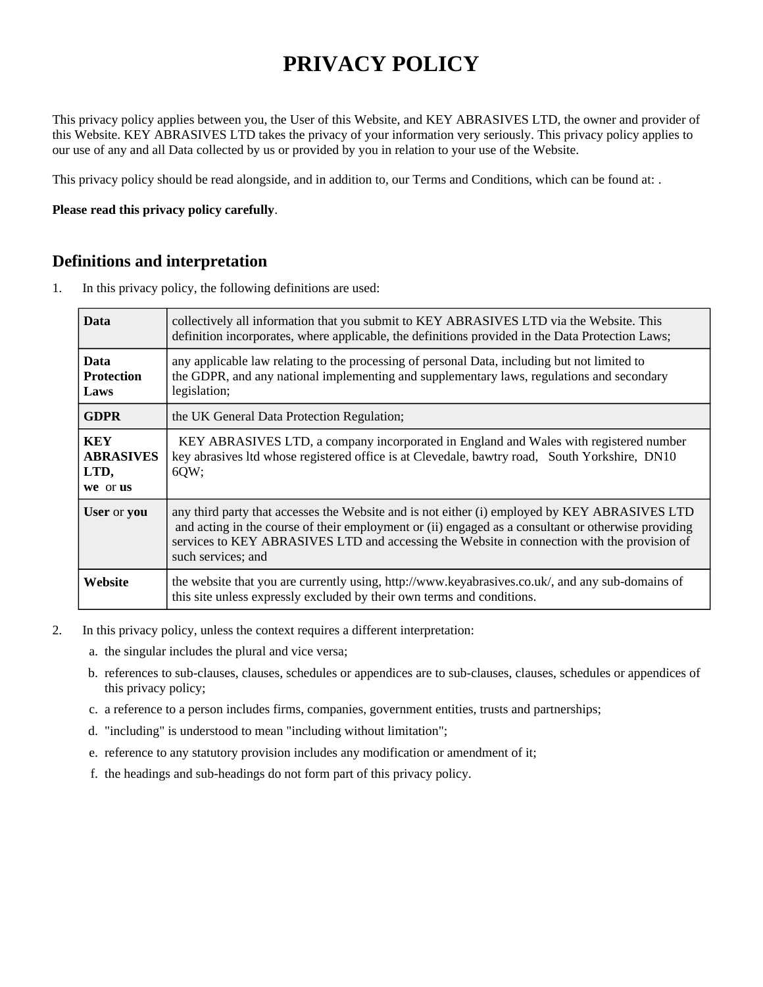# **PRIVACY POLICY**

This privacy policy applies between you, the User of this Website, and KEY ABRASIVES LTD, the owner and provider of this Website. KEY ABRASIVES LTD takes the privacy of your information very seriously. This privacy policy applies to our use of any and all Data collected by us or provided by you in relation to your use of the Website.

This privacy policy should be read alongside, and in addition to, our Terms and Conditions, which can be found at: .

#### **Please read this privacy policy carefully**.

#### **Definitions and interpretation**

1. In this privacy policy, the following definitions are used:

| Data                                               | collectively all information that you submit to KEY ABRASIVES LTD via the Website. This<br>definition incorporates, where applicable, the definitions provided in the Data Protection Laws;                                                                                                                               |
|----------------------------------------------------|---------------------------------------------------------------------------------------------------------------------------------------------------------------------------------------------------------------------------------------------------------------------------------------------------------------------------|
| <b>Data</b><br><b>Protection</b><br>Laws           | any applicable law relating to the processing of personal Data, including but not limited to<br>the GDPR, and any national implementing and supplementary laws, regulations and secondary<br>legislation;                                                                                                                 |
| <b>GDPR</b>                                        | the UK General Data Protection Regulation;                                                                                                                                                                                                                                                                                |
| <b>KEY</b><br><b>ABRASIVES</b><br>LTD,<br>we or us | KEY ABRASIVES LTD, a company incorporated in England and Wales with registered number<br>key abrasives ltd whose registered office is at Clevedale, bawtry road, South Yorkshire, DN10<br>6QW;                                                                                                                            |
| <b>User</b> or you                                 | any third party that accesses the Website and is not either (i) employed by KEY ABRASIVES LTD<br>and acting in the course of their employment or (ii) engaged as a consultant or otherwise providing<br>services to KEY ABRASIVES LTD and accessing the Website in connection with the provision of<br>such services; and |
| Website                                            | the website that you are currently using, http://www.keyabrasives.co.uk/, and any sub-domains of<br>this site unless expressly excluded by their own terms and conditions.                                                                                                                                                |

- 2. In this privacy policy, unless the context requires a different interpretation:
	- a. the singular includes the plural and vice versa;
	- b. references to sub-clauses, clauses, schedules or appendices are to sub-clauses, clauses, schedules or appendices of this privacy policy;
	- c. a reference to a person includes firms, companies, government entities, trusts and partnerships;
	- d. "including" is understood to mean "including without limitation";
	- e. reference to any statutory provision includes any modification or amendment of it;
	- f. the headings and sub-headings do not form part of this privacy policy.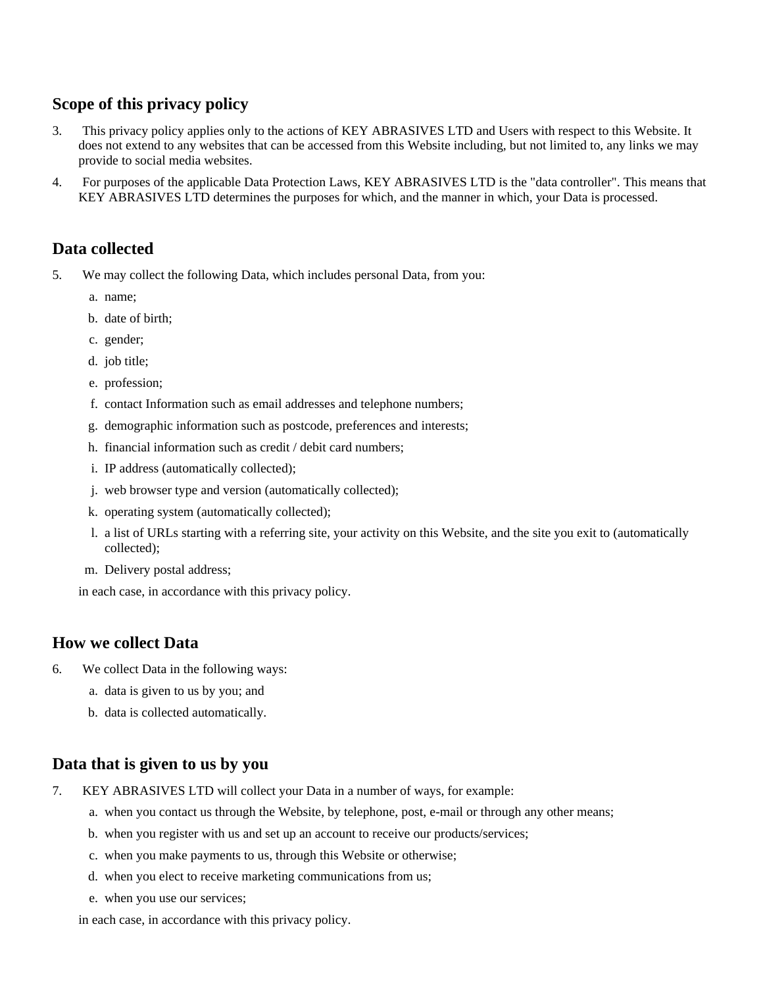# **Scope of this privacy policy**

- 3. This privacy policy applies only to the actions of KEY ABRASIVES LTD and Users with respect to this Website. It does not extend to any websites that can be accessed from this Website including, but not limited to, any links we may provide to social media websites.
- 4. For purposes of the applicable Data Protection Laws, KEY ABRASIVES LTD is the "data controller". This means that KEY ABRASIVES LTD determines the purposes for which, and the manner in which, your Data is processed.

# **Data collected**

- 5. We may collect the following Data, which includes personal Data, from you:
	- a. name;
	- b. date of birth;
	- c. gender;
	- d. job title;
	- e. profession;
	- f. contact Information such as email addresses and telephone numbers;
	- g. demographic information such as postcode, preferences and interests;
	- h. financial information such as credit / debit card numbers;
	- i. IP address (automatically collected);
	- j. web browser type and version (automatically collected);
	- k. operating system (automatically collected);
	- l. a list of URLs starting with a referring site, your activity on this Website, and the site you exit to (automatically collected);
	- m. Delivery postal address;

in each case, in accordance with this privacy policy.

#### **How we collect Data**

- 6. We collect Data in the following ways:
	- a. data is given to us by you; and
	- b. data is collected automatically.

### **Data that is given to us by you**

- 7. KEY ABRASIVES LTD will collect your Data in a number of ways, for example:
	- a. when you contact us through the Website, by telephone, post, e-mail or through any other means;
	- b. when you register with us and set up an account to receive our products/services;
	- c. when you make payments to us, through this Website or otherwise;
	- d. when you elect to receive marketing communications from us;
	- e. when you use our services;

in each case, in accordance with this privacy policy.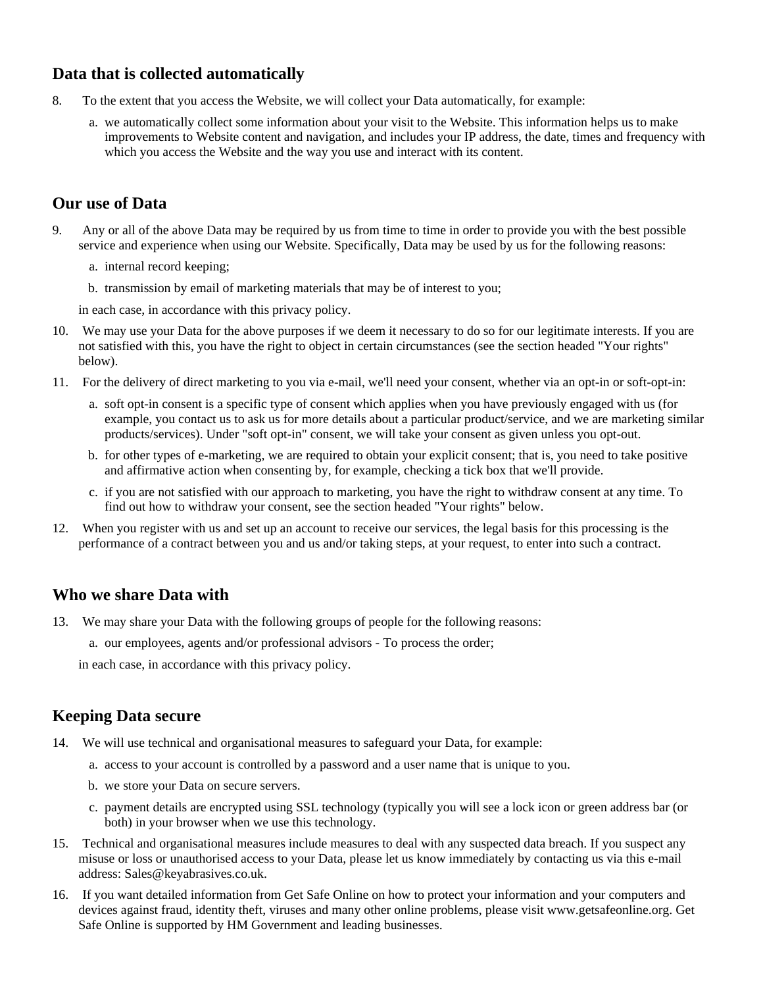# **Data that is collected automatically**

- 8. To the extent that you access the Website, we will collect your Data automatically, for example:
	- a. we automatically collect some information about your visit to the Website. This information helps us to make improvements to Website content and navigation, and includes your IP address, the date, times and frequency with which you access the Website and the way you use and interact with its content.

# **Our use of Data**

- 9. Any or all of the above Data may be required by us from time to time in order to provide you with the best possible service and experience when using our Website. Specifically, Data may be used by us for the following reasons:
	- a. internal record keeping;
	- b. transmission by email of marketing materials that may be of interest to you;

in each case, in accordance with this privacy policy.

- 10. We may use your Data for the above purposes if we deem it necessary to do so for our legitimate interests. If you are not satisfied with this, you have the right to object in certain circumstances (see the section headed "Your rights" below).
- 11. For the delivery of direct marketing to you via e-mail, we'll need your consent, whether via an opt-in or soft-opt-in:
	- a. soft opt-in consent is a specific type of consent which applies when you have previously engaged with us (for example, you contact us to ask us for more details about a particular product/service, and we are marketing similar products/services). Under "soft opt-in" consent, we will take your consent as given unless you opt-out.
	- b. for other types of e-marketing, we are required to obtain your explicit consent; that is, you need to take positive and affirmative action when consenting by, for example, checking a tick box that we'll provide.
	- c. if you are not satisfied with our approach to marketing, you have the right to withdraw consent at any time. To find out how to withdraw your consent, see the section headed "Your rights" below.
- 12. When you register with us and set up an account to receive our services, the legal basis for this processing is the performance of a contract between you and us and/or taking steps, at your request, to enter into such a contract.

### **Who we share Data with**

- 13. We may share your Data with the following groups of people for the following reasons:
	- a. our employees, agents and/or professional advisors To process the order;

in each case, in accordance with this privacy policy.

### **Keeping Data secure**

- 14. We will use technical and organisational measures to safeguard your Data, for example:
	- a. access to your account is controlled by a password and a user name that is unique to you.
	- b. we store your Data on secure servers.
	- c. payment details are encrypted using SSL technology (typically you will see a lock icon or green address bar (or both) in your browser when we use this technology.
- 15. Technical and organisational measures include measures to deal with any suspected data breach. If you suspect any misuse or loss or unauthorised access to your Data, please let us know immediately by contacting us via this e-mail address: Sales@keyabrasives.co.uk.
- 16. If you want detailed information from Get Safe Online on how to protect your information and your computers and devices against fraud, identity theft, viruses and many other online problems, please visit www.getsafeonline.org. Get Safe Online is supported by HM Government and leading businesses.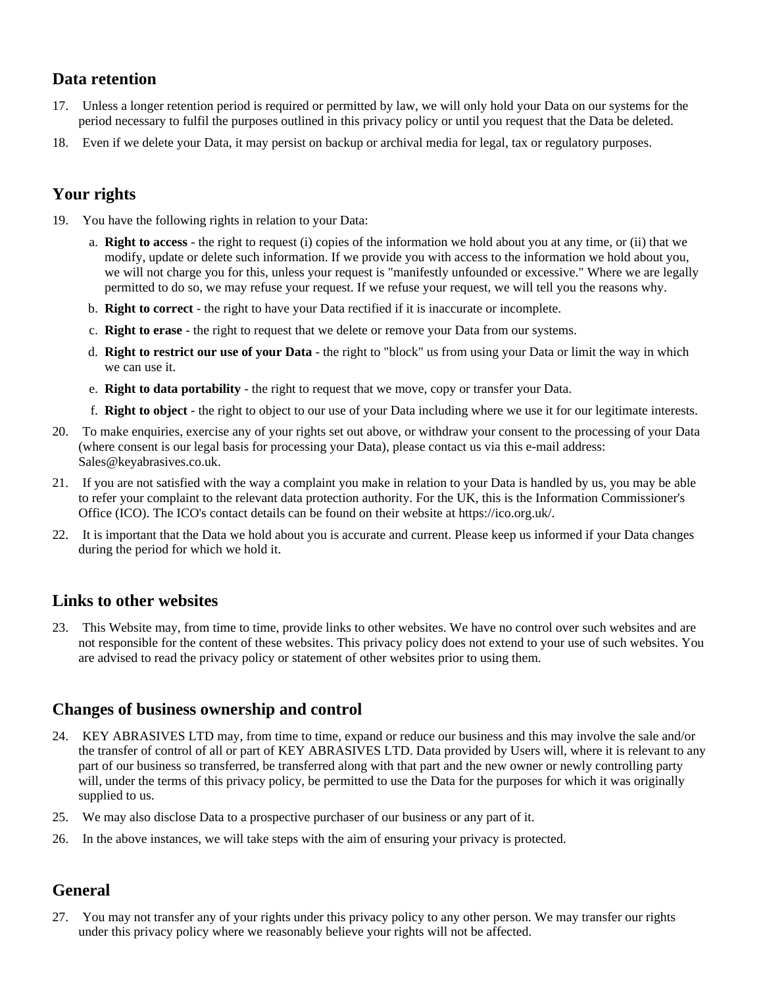### **Data retention**

- 17. Unless a longer retention period is required or permitted by law, we will only hold your Data on our systems for the period necessary to fulfil the purposes outlined in this privacy policy or until you request that the Data be deleted.
- 18. Even if we delete your Data, it may persist on backup or archival media for legal, tax or regulatory purposes.

# **Your rights**

- 19. You have the following rights in relation to your Data:
	- a. **Right to access** the right to request (i) copies of the information we hold about you at any time, or (ii) that we modify, update or delete such information. If we provide you with access to the information we hold about you, we will not charge you for this, unless your request is "manifestly unfounded or excessive." Where we are legally permitted to do so, we may refuse your request. If we refuse your request, we will tell you the reasons why.
	- b. **Right to correct** the right to have your Data rectified if it is inaccurate or incomplete.
	- c. **Right to erase** the right to request that we delete or remove your Data from our systems.
	- d. **Right to restrict our use of your Data** the right to "block" us from using your Data or limit the way in which we can use it.
	- e. **Right to data portability** the right to request that we move, copy or transfer your Data.
	- f. **Right to object** the right to object to our use of your Data including where we use it for our legitimate interests.
- 20. To make enquiries, exercise any of your rights set out above, or withdraw your consent to the processing of your Data (where consent is our legal basis for processing your Data), please contact us via this e-mail address: Sales@keyabrasives.co.uk.
- 21. If you are not satisfied with the way a complaint you make in relation to your Data is handled by us, you may be able to refer your complaint to the relevant data protection authority. For the UK, this is the Information Commissioner's Office (ICO). The ICO's contact details can be found on their website at https://ico.org.uk/.
- 22. It is important that the Data we hold about you is accurate and current. Please keep us informed if your Data changes during the period for which we hold it.

### **Links to other websites**

23. This Website may, from time to time, provide links to other websites. We have no control over such websites and are not responsible for the content of these websites. This privacy policy does not extend to your use of such websites. You are advised to read the privacy policy or statement of other websites prior to using them.

### **Changes of business ownership and control**

- 24. KEY ABRASIVES LTD may, from time to time, expand or reduce our business and this may involve the sale and/or the transfer of control of all or part of KEY ABRASIVES LTD. Data provided by Users will, where it is relevant to any part of our business so transferred, be transferred along with that part and the new owner or newly controlling party will, under the terms of this privacy policy, be permitted to use the Data for the purposes for which it was originally supplied to us.
- 25. We may also disclose Data to a prospective purchaser of our business or any part of it.
- 26. In the above instances, we will take steps with the aim of ensuring your privacy is protected.

### **General**

27. You may not transfer any of your rights under this privacy policy to any other person. We may transfer our rights under this privacy policy where we reasonably believe your rights will not be affected.